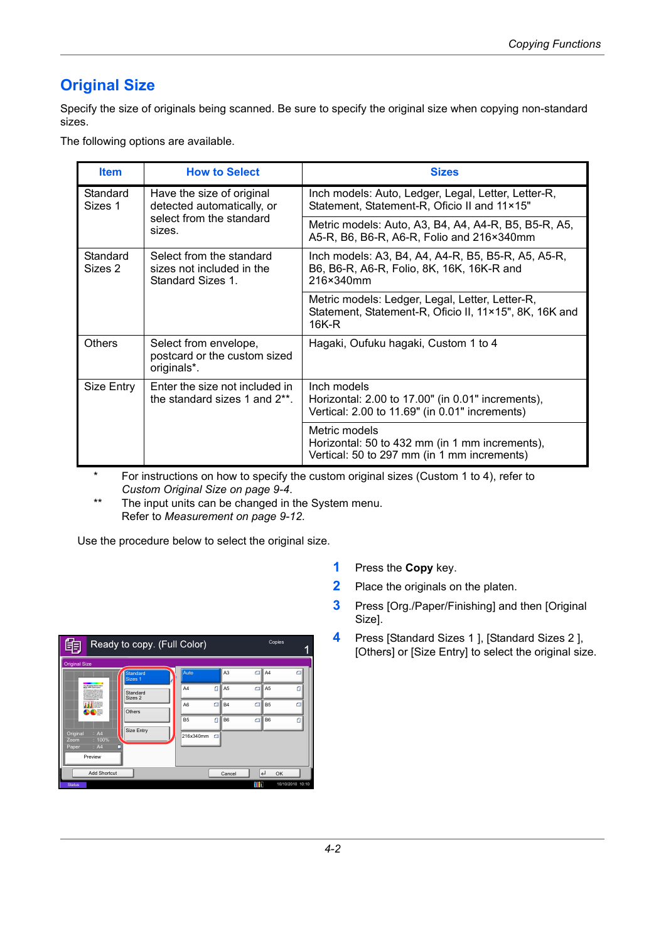# **Original Size**

Specify the size of originals being scanned. Be sure to specify the original size when copying non-standard sizes.

The following options are available.

| <b>Item</b>         | <b>How to Select</b>                                                       | <b>Sizes</b>                                                                                                       |
|---------------------|----------------------------------------------------------------------------|--------------------------------------------------------------------------------------------------------------------|
| Standard<br>Sizes 1 | Have the size of original<br>detected automatically, or                    | Inch models: Auto, Ledger, Legal, Letter, Letter-R,<br>Statement, Statement-R, Oficio II and 11×15"                |
|                     | select from the standard<br>sizes.                                         | Metric models: Auto, A3, B4, A4, A4-R, B5, B5-R, A5,<br>A5-R, B6, B6-R, A6-R, Folio and 216×340mm                  |
| Standard<br>Sizes 2 | Select from the standard<br>sizes not included in the<br>Standard Sizes 1. | Inch models: A3, B4, A4, A4-R, B5, B5-R, A5, A5-R,<br>B6, B6-R, A6-R, Folio, 8K, 16K, 16K-R and<br>216×340mm       |
|                     |                                                                            | Metric models: Ledger, Legal, Letter, Letter-R,<br>Statement, Statement-R, Oficio II, 11×15", 8K, 16K and<br>16K-R |
| <b>Others</b>       | Select from envelope,<br>postcard or the custom sized<br>originals*.       | Hagaki, Oufuku hagaki, Custom 1 to 4                                                                               |
| Size Entry          | Enter the size not included in<br>the standard sizes 1 and 2**.            | Inch models<br>Horizontal: 2.00 to 17.00" (in 0.01" increments),<br>Vertical: 2.00 to 11.69" (in 0.01" increments) |
|                     |                                                                            | Metric models<br>Horizontal: 50 to 432 mm (in 1 mm increments),<br>Vertical: 50 to 297 mm (in 1 mm increments)     |

\* For instructions on how to specify the custom original sizes (Custom 1 to 4), refer to *[Custom Original Size on page 9-4](#page--1-0)*.

\*\* The input units can be changed in the System menu. Refer to *[Measurement on page 9-12](#page--1-1)*.

Use the procedure below to select the original size.

| Ready to copy. (Full Color)                                                                                                                                            |                                |                          |                | Copies |                  |   |
|------------------------------------------------------------------------------------------------------------------------------------------------------------------------|--------------------------------|--------------------------|----------------|--------|------------------|---|
| <b>Original Size</b>                                                                                                                                                   |                                |                          |                |        |                  |   |
|                                                                                                                                                                        | Standard<br>Sizes <sub>1</sub> | Auto                     | A <sub>3</sub> | Θ      | A <sub>4</sub>   | σ |
| <b>Sundimento Sensitions</b><br>More Sills and more.<br><b>SAN LIGHTER CARDS BLUE</b><br><b>CONTRACTOR</b><br>--------<br><b><i><u>A College De Commercial</u></i></b> | Standard<br>Sizes 2            | n<br>A <sub>4</sub>      | A <sub>5</sub> | $\Box$ | A <sub>5</sub>   |   |
| No Harris<br>$-200$<br>DOE                                                                                                                                             | Others                         | $\Box$<br>A <sub>6</sub> | <b>B4</b>      | $\Box$ | B <sub>5</sub>   | о |
|                                                                                                                                                                        |                                | ŕ<br>B <sub>5</sub>      | B <sub>6</sub> | $\Box$ | <b>B6</b>        |   |
| Original<br>: A4<br>$: 100\%$<br>Zoom                                                                                                                                  | Size Entry                     | 216x340mm<br>с           |                |        |                  |   |
| : A4<br>Paper<br>Preview                                                                                                                                               | ▬                              |                          |                |        |                  |   |
| Add Shortcut                                                                                                                                                           |                                |                          | Cancel         | لے     | OK               |   |
| <b>Status</b>                                                                                                                                                          |                                |                          |                | m      | 10/10/2010 10:10 |   |

- **1** Press the **Copy** key.
- **2** Place the originals on the platen.
- **3** Press [Org./Paper/Finishing] and then [Original Size].
- **4** Press [Standard Sizes 1 ], [Standard Sizes 2 ], [Others] or [Size Entry] to select the original size.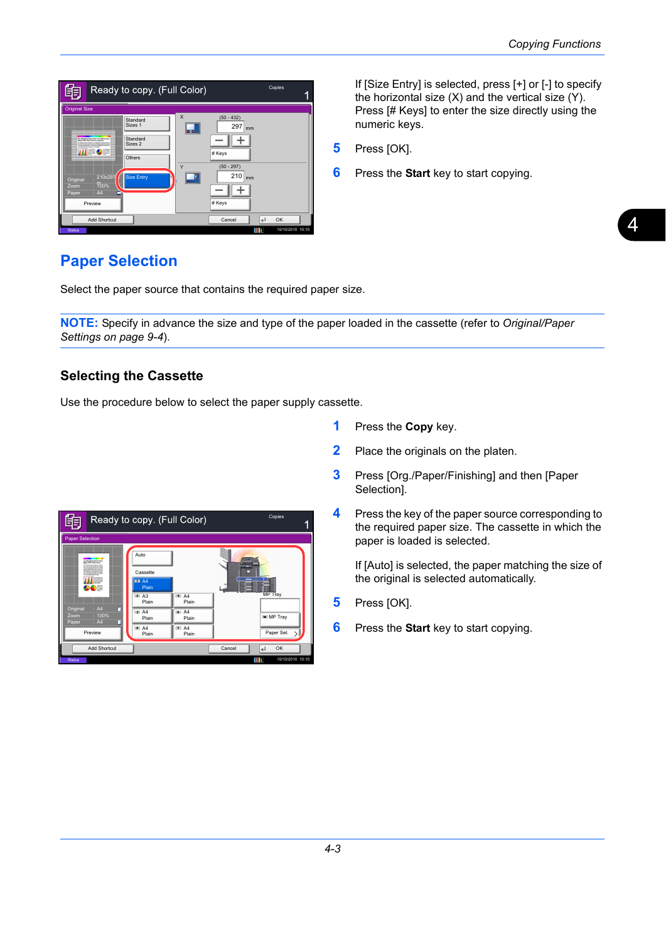

If [Size Entry] is selected, press [+] or [-] to specify the horizontal size (X) and the vertical size (Y). Press [# Keys] to enter the size directly using the numeric keys.

- **5** Press [OK].
- **6** Press the **Start** key to start copying.

# **Paper Selection**

Select the paper source that contains the required paper size.

**NOTE:** Specify in advance the size and type of the paper loaded in the cassette (refer to *[Original/Paper](#page--1-2)  [Settings on page 9-4](#page--1-2)*).

# **Selecting the Cassette**

Use the procedure below to select the paper supply cassette.

- **1** Press the **Copy** key.
- **2** Place the originals on the platen.
- **3** Press [Org./Paper/Finishing] and then [Paper Selection].
- **4** Press the key of the paper source corresponding to the required paper size. The cassette in which the paper is loaded is selected.

If [Auto] is selected, the paper matching the size of the original is selected automatically.

- **5** Press [OK].
- **6** Press the **Start** key to start copying.

|                                   | Copies<br>Ready to copy. (Full Color)                                                                                                                                                                                                                                      |                                                                                                                                           |      |                      |  |  |
|-----------------------------------|----------------------------------------------------------------------------------------------------------------------------------------------------------------------------------------------------------------------------------------------------------------------------|-------------------------------------------------------------------------------------------------------------------------------------------|------|----------------------|--|--|
|                                   | <b>Paper Selection</b>                                                                                                                                                                                                                                                     |                                                                                                                                           |      |                      |  |  |
| Original<br>Zoom<br>Paper         | <b>Buckening Extra hara</b><br>11 To Life and Labour. 21 Labor<br><b>STATISTICS</b><br><b>SAN LIGHTER CARDS BLUE</b><br><b>Benefits cars as small be</b><br><b>A Transport of Alberta Last</b><br><b>CALL CALL IN CALL OF</b><br>OĦ<br>п<br>: A4<br>$: 100\%$<br>: A4<br>٠ | Auto<br>Cassette<br><b>MH A4</b><br>Plain<br><b>2</b> A <sub>3</sub><br>5A4<br>Plain<br>Plain<br>3A<br>6A4<br>Plain<br>Plain<br>4A<br>7A4 | $-1$ | MP Tray<br>M MP Tray |  |  |
|                                   | Preview                                                                                                                                                                                                                                                                    | Plain<br>Plain                                                                                                                            |      | Paper Set.           |  |  |
| Add Shortcut<br>Cancel<br>OK<br>ᅬ |                                                                                                                                                                                                                                                                            |                                                                                                                                           |      |                      |  |  |
| <b>Status</b>                     |                                                                                                                                                                                                                                                                            |                                                                                                                                           | m    | 10/10/2010 10:10     |  |  |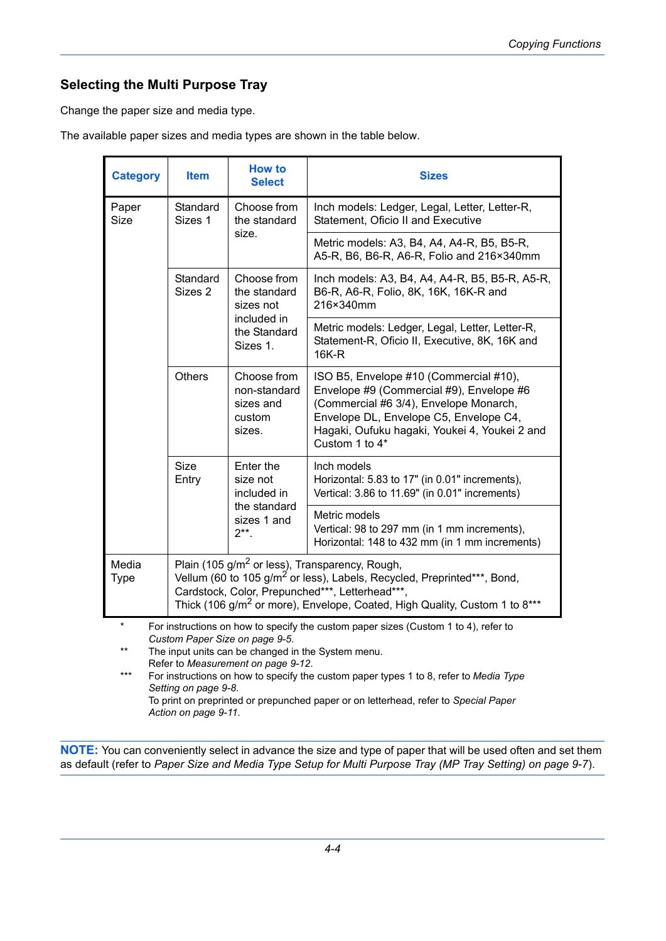# **Selecting the Multi Purpose Tray**

Change the paper size and media type.

The available paper sizes and media types are shown in the table below.

| <b>Category</b>                                                                                                                                                                                                                                                                                                                                                                                                                                                                                | <b>Item</b>                                                                                                                                                                                                                                                                                    | <b>How to</b><br><b>Select</b>                               | <b>Sizes</b>                                                                                                                                                                                                                              |  |
|------------------------------------------------------------------------------------------------------------------------------------------------------------------------------------------------------------------------------------------------------------------------------------------------------------------------------------------------------------------------------------------------------------------------------------------------------------------------------------------------|------------------------------------------------------------------------------------------------------------------------------------------------------------------------------------------------------------------------------------------------------------------------------------------------|--------------------------------------------------------------|-------------------------------------------------------------------------------------------------------------------------------------------------------------------------------------------------------------------------------------------|--|
| Paper<br><b>Size</b>                                                                                                                                                                                                                                                                                                                                                                                                                                                                           | Standard<br>Sizes 1                                                                                                                                                                                                                                                                            | Choose from<br>the standard                                  | Inch models: Ledger, Legal, Letter, Letter-R,<br>Statement, Oficio II and Executive                                                                                                                                                       |  |
|                                                                                                                                                                                                                                                                                                                                                                                                                                                                                                |                                                                                                                                                                                                                                                                                                | size.                                                        | Metric models: A3, B4, A4, A4-R, B5, B5-R,<br>A5-R, B6, B6-R, A6-R, Folio and 216×340mm                                                                                                                                                   |  |
|                                                                                                                                                                                                                                                                                                                                                                                                                                                                                                | Standard<br>Sizes 2                                                                                                                                                                                                                                                                            | Choose from<br>the standard<br>sizes not                     | Inch models: A3, B4, A4, A4-R, B5, B5-R, A5-R,<br>B6-R, A6-R, Folio, 8K, 16K, 16K-R and<br>216×340mm                                                                                                                                      |  |
|                                                                                                                                                                                                                                                                                                                                                                                                                                                                                                |                                                                                                                                                                                                                                                                                                | included in<br>the Standard<br>Sizes 1.                      | Metric models: Ledger, Legal, Letter, Letter-R,<br>Statement-R, Oficio II, Executive, 8K, 16K and<br><b>16K-R</b>                                                                                                                         |  |
|                                                                                                                                                                                                                                                                                                                                                                                                                                                                                                | Others                                                                                                                                                                                                                                                                                         | Choose from<br>non-standard<br>sizes and<br>custom<br>sizes. | ISO B5, Envelope #10 (Commercial #10),<br>Envelope #9 (Commercial #9), Envelope #6<br>(Commercial #6 3/4), Envelope Monarch,<br>Envelope DL, Envelope C5, Envelope C4,<br>Hagaki, Oufuku hagaki, Youkei 4, Youkei 2 and<br>Custom 1 to 4* |  |
|                                                                                                                                                                                                                                                                                                                                                                                                                                                                                                | <b>Size</b><br>Entry                                                                                                                                                                                                                                                                           | Enter the<br>size not<br>included in                         | Inch models<br>Horizontal: 5.83 to 17" (in 0.01" increments),<br>Vertical: 3.86 to 11.69" (in 0.01" increments)                                                                                                                           |  |
|                                                                                                                                                                                                                                                                                                                                                                                                                                                                                                | the standard<br>sizes 1 and<br>$2^{**}$ .                                                                                                                                                                                                                                                      |                                                              | Metric models<br>Vertical: 98 to 297 mm (in 1 mm increments),<br>Horizontal: 148 to 432 mm (in 1 mm increments)                                                                                                                           |  |
| Media<br>Type                                                                                                                                                                                                                                                                                                                                                                                                                                                                                  | Plain (105 g/m <sup>2</sup> or less), Transparency, Rough,<br>Vellum (60 to 105 g/m <sup>2</sup> or less), Labels, Recycled, Preprinted***, Bond,<br>Cardstock, Color, Prepunched***, Letterhead***,<br>Thick (106 g/m <sup>2</sup> or more), Envelope, Coated, High Quality, Custom 1 to 8*** |                                                              |                                                                                                                                                                                                                                           |  |
| $\star$<br>For instructions on how to specify the custom paper sizes (Custom 1 to 4), refer to<br>Custom Paper Size on page 9-5.<br>$***$<br>The input units can be changed in the System menu.<br>Refer to Measurement on page 9-12.<br>$\star\!\star\!\star$<br>For instructions on how to specify the custom paper types 1 to 8, refer to Media Type<br>Setting on page 9-8.<br>To print on preprinted or prepunched paper or on letterhead, refer to Special Paper<br>Action on page 9-11. |                                                                                                                                                                                                                                                                                                |                                                              |                                                                                                                                                                                                                                           |  |

**NOTE:** You can conveniently select in advance the size and type of paper that will be used often and set them as default (refer to *[Paper Size and Media Type Setup for Multi Purpose Tray \(MP Tray Setting\) on page 9-7](#page--1-6)*).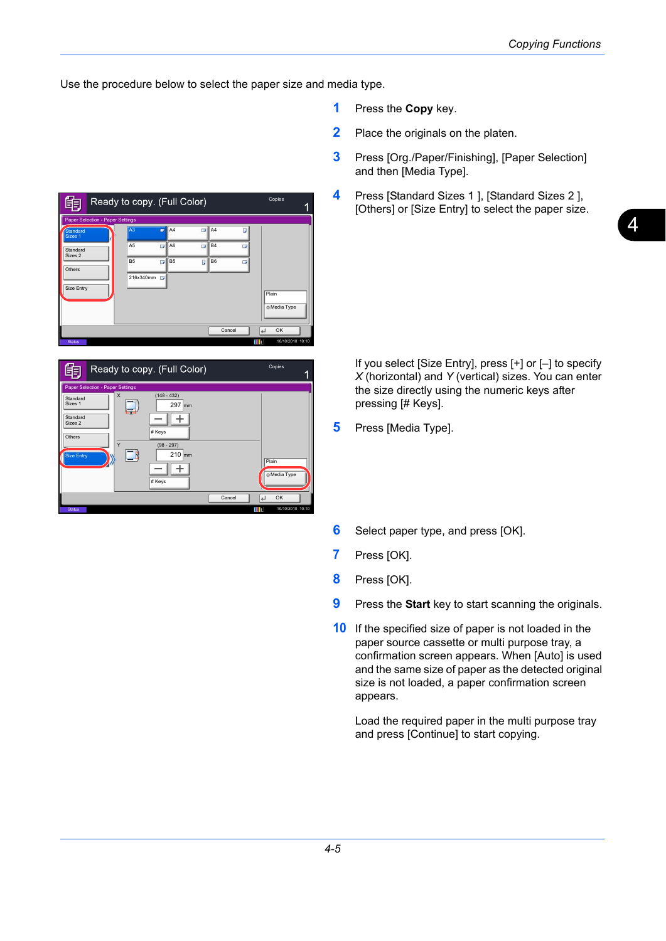Use the procedure below to select the paper size and media type.

- **1** Press the **Copy** key.
- **2** Place the originals on the platen.
- **3** Press [Org./Paper/Finishing], [Paper Selection] and then [Media Type].
- **4** Press [Standard Sizes 1 ], [Standard Sizes 2 ], [Others] or [Size Entry] to select the paper size.

If you select [Size Entry], press [+] or [–] to specify *X* (horizontal) and *Y* (vertical) sizes. You can enter the size directly using the numeric keys after pressing [# Keys].

- **5** Press [Media Type].
- **6** Select paper type, and press [OK].
- **7** Press [OK].
- **8** Press [OK].
- **9** Press the **Start** key to start scanning the originals.
- **10** If the specified size of paper is not loaded in the paper source cassette or multi purpose tray, a confirmation screen appears. When [Auto] is used and the same size of paper as the detected original size is not loaded, a paper confirmation screen appears.

Load the required paper in the multi purpose tray and press [Continue] to start copying.

|                                  |                | Ready to copy. (Full Color)      |                     |        | Copies       |
|----------------------------------|----------------|----------------------------------|---------------------|--------|--------------|
| Paper Selection - Paper Settings |                |                                  |                     |        |              |
| Standard<br>Sizes <sub>1</sub>   | A <sub>3</sub> | A <sub>4</sub><br>п              | A <sub>4</sub><br>п | п      |              |
| Standard<br>Sizes 2              | A <sub>5</sub> | A <sub>6</sub><br>$\Box$         | <b>B4</b><br>π      |        |              |
| Others                           | B <sub>5</sub> | $\blacksquare$<br>B <sub>5</sub> | П<br><b>B6</b>      |        |              |
|                                  | 216x340mm      | п.                               |                     |        |              |
| Size Entry                       |                |                                  |                     |        | Plain        |
|                                  |                |                                  |                     |        | C Media Type |
|                                  |                |                                  |                     | Cancel | OK<br>ᅬ      |

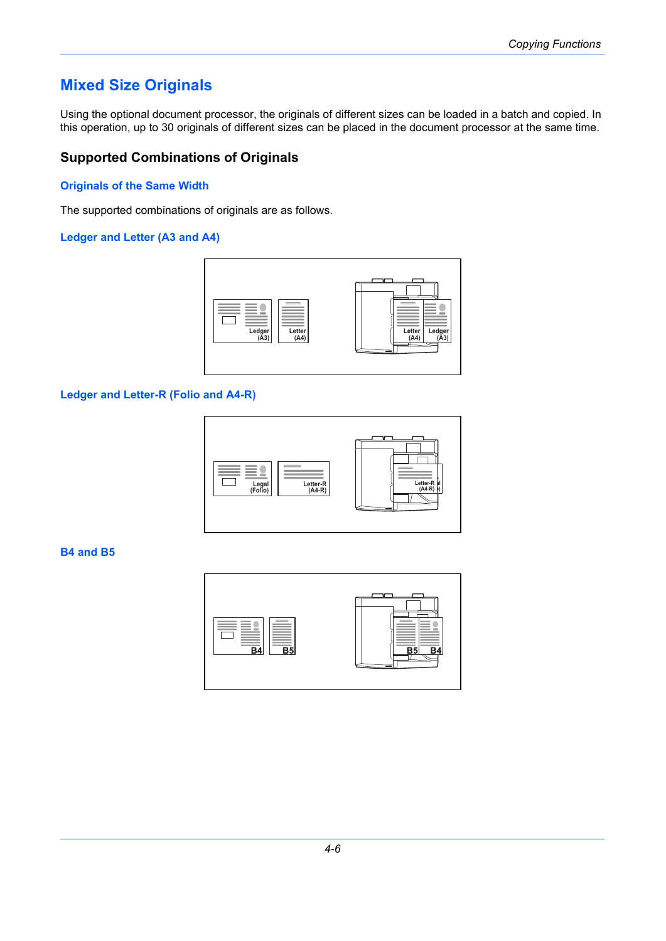# **Mixed Size Originals**

Using the optional document processor, the originals of different sizes can be loaded in a batch and copied. In this operation, up to 30 originals of different sizes can be placed in the document processor at the same time.

## **Supported Combinations of Originals**

#### **Originals of the Same Width**

The supported combinations of originals are as follows.

#### **Ledger and Letter (A3 and A4)**



### **Ledger and Letter-R (Folio and A4-R)**



#### **B4 and B5**

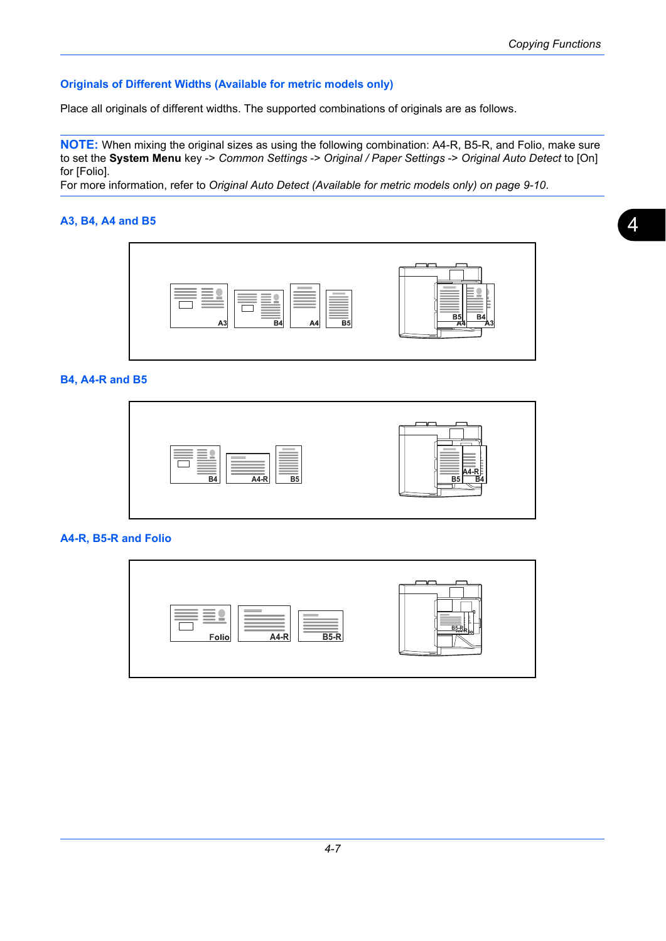### **Originals of Different Widths (Available for metric models only)**

Place all originals of different widths. The supported combinations of originals are as follows.

**NOTE:** When mixing the original sizes as using the following combination: A4-R, B5-R, and Folio, make sure to set the **System Menu** key -> *Common Settings* -> *Original / Paper Settings* -> *Original Auto Detect* to [On] for [Folio].

For more information, refer to *[Original Auto Detect \(Available for metric models only\) on page 9-10](#page--1-7)*.

### **A3, B4, A4 and B5**



### **B4, A4-R and B5**



#### **A4-R, B5-R and Folio**

| <b>Contract Contract</b><br>$\qquad \qquad = \qquad$<br>$B5-R$<br>A4-R<br>Folio | $\frac{1}{\sqrt{\frac{1}{2}}\cdot R}$<br>iol |
|---------------------------------------------------------------------------------|----------------------------------------------|
|---------------------------------------------------------------------------------|----------------------------------------------|